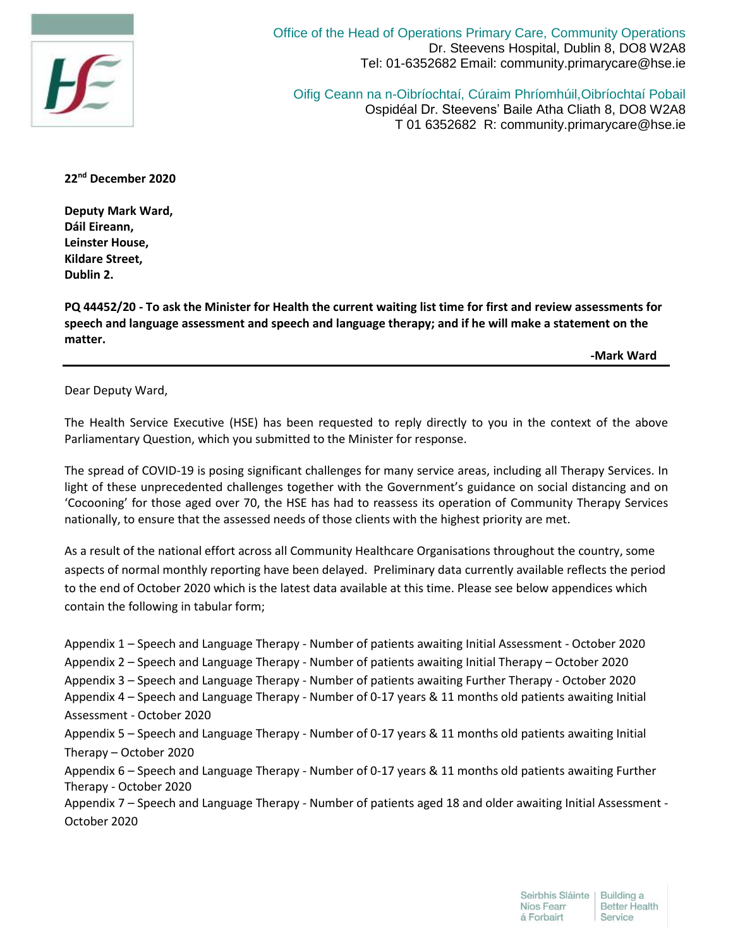

Office of the Head of Operations Primary Care, Community Operations Dr. Steevens Hospital, Dublin 8, DO8 W2A8 Tel: 01-6352682 Email: community.primarycare@hse.ie

Oifig Ceann na n-Oibríochtaí, Cúraim Phríomhúil,Oibríochtaí Pobail Ospidéal Dr. Steevens' Baile Atha Cliath 8, DO8 W2A8 T 01 6352682 R: community.primarycare@hse.ie

**22nd December 2020**

**Deputy Mark Ward, Dáil Eireann, Leinster House, Kildare Street, Dublin 2.**

**PQ 44452/20 - To ask the Minister for Health the current waiting list time for first and review assessments for speech and language assessment and speech and language therapy; and if he will make a statement on the matter.**

 **-Mark Ward**

Dear Deputy Ward,

The Health Service Executive (HSE) has been requested to reply directly to you in the context of the above Parliamentary Question, which you submitted to the Minister for response.

The spread of COVID-19 is posing significant challenges for many service areas, including all Therapy Services. In light of these unprecedented challenges together with the Government's guidance on social distancing and on 'Cocooning' for those aged over 70, the HSE has had to reassess its operation of Community Therapy Services nationally, to ensure that the assessed needs of those clients with the highest priority are met.

As a result of the national effort across all Community Healthcare Organisations throughout the country, some aspects of normal monthly reporting have been delayed. Preliminary data currently available reflects the period to the end of October 2020 which is the latest data available at this time. Please see below appendices which contain the following in tabular form;

Appendix 1 – Speech and Language Therapy - Number of patients awaiting Initial Assessment - October 2020 Appendix 2 – Speech and Language Therapy - Number of patients awaiting Initial Therapy – October 2020 Appendix 3 – Speech and Language Therapy - Number of patients awaiting Further Therapy - October 2020 Appendix 4 – Speech and Language Therapy - Number of 0-17 years & 11 months old patients awaiting Initial Assessment - October 2020 Appendix 5 – Speech and Language Therapy - Number of 0-17 years & 11 months old patients awaiting Initial Therapy – October 2020 Appendix 6 – Speech and Language Therapy - Number of 0-17 years & 11 months old patients awaiting Further Therapy - October 2020 Appendix 7 – Speech and Language Therapy - Number of patients aged 18 and older awaiting Initial Assessment - October 2020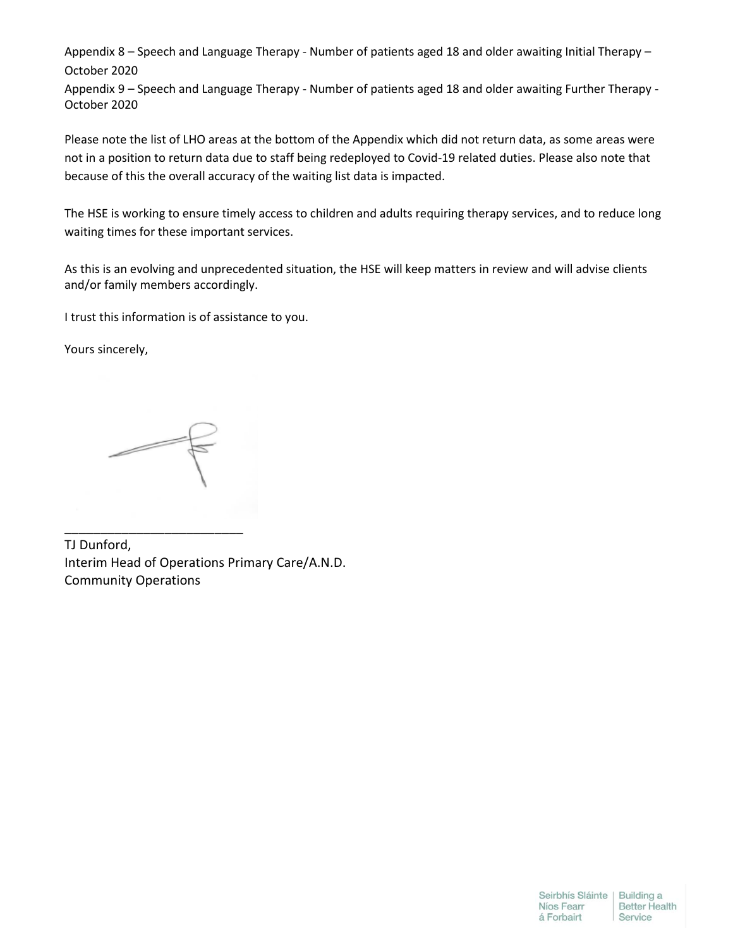Appendix 8 – Speech and Language Therapy - Number of patients aged 18 and older awaiting Initial Therapy – October 2020

Appendix 9 – Speech and Language Therapy - Number of patients aged 18 and older awaiting Further Therapy - October 2020

Please note the list of LHO areas at the bottom of the Appendix which did not return data, as some areas were not in a position to return data due to staff being redeployed to Covid-19 related duties. Please also note that because of this the overall accuracy of the waiting list data is impacted.

The HSE is working to ensure timely access to children and adults requiring therapy services, and to reduce long waiting times for these important services.

As this is an evolving and unprecedented situation, the HSE will keep matters in review and will advise clients and/or family members accordingly.

I trust this information is of assistance to you.

Yours sincerely,

\_\_\_\_\_\_\_\_\_\_\_\_\_\_\_\_\_\_\_\_\_\_\_\_\_

TJ Dunford, Interim Head of Operations Primary Care/A.N.D. Community Operations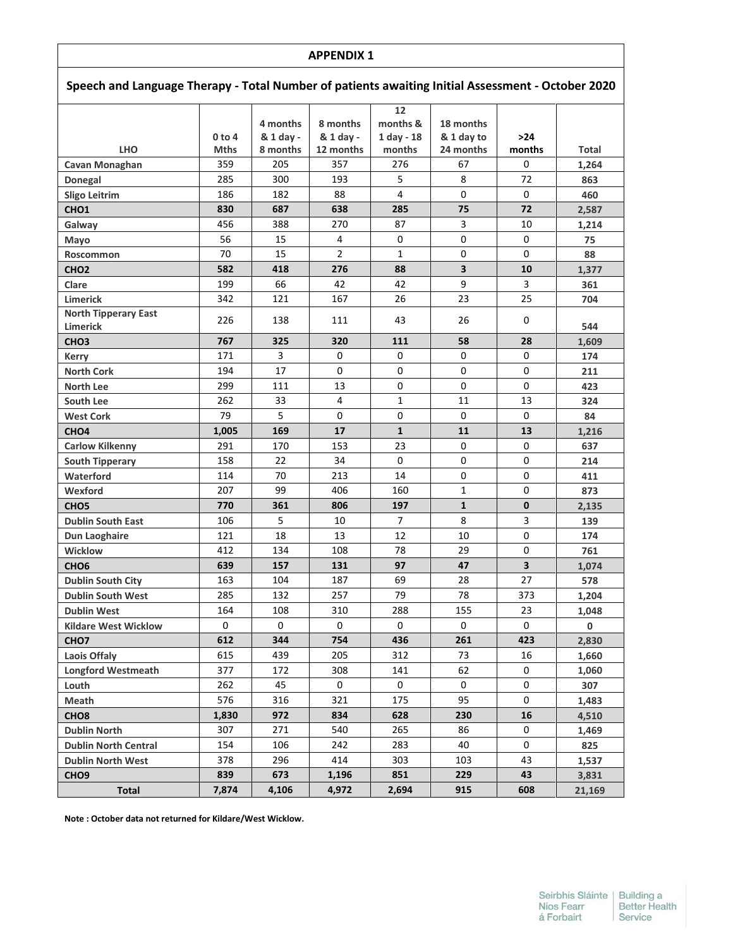| Speech and Language Therapy - Total Number of patients awaiting Initial Assessment - October 2020 |             |                       |                       |                                |                         |                         |        |  |
|---------------------------------------------------------------------------------------------------|-------------|-----------------------|-----------------------|--------------------------------|-------------------------|-------------------------|--------|--|
|                                                                                                   | $0$ to 4    | 4 months<br>& 1 day - | 8 months<br>& 1 day - | 12<br>months &<br>$1$ day - 18 | 18 months<br>& 1 day to | $>24$                   |        |  |
| <b>LHO</b>                                                                                        | <b>Mths</b> | 8 months              | 12 months             | months                         | 24 months               | months                  | Total  |  |
| Cavan Monaghan                                                                                    | 359         | 205                   | 357                   | 276                            | 67                      | 0                       | 1,264  |  |
| Donegal                                                                                           | 285         | 300                   | 193                   | 5                              | 8                       | 72                      | 863    |  |
| <b>Sligo Leitrim</b>                                                                              | 186         | 182                   | 88                    | $\overline{4}$                 | $\Omega$                | $\Omega$                | 460    |  |
| CHO <sub>1</sub>                                                                                  | 830         | 687                   | 638                   | 285                            | 75                      | 72                      | 2,587  |  |
| Galway                                                                                            | 456         | 388                   | 270                   | 87                             | 3                       | 10                      | 1,214  |  |
| Mayo                                                                                              | 56          | 15                    | 4                     | 0                              | $\mathbf 0$             | 0                       | 75     |  |
| Roscommon                                                                                         | 70          | 15                    | $\overline{2}$        | $\mathbf{1}$                   | 0                       | 0                       | 88     |  |
| CHO <sub>2</sub>                                                                                  | 582         | 418                   | 276                   | 88                             | $\overline{\mathbf{3}}$ | 10                      | 1,377  |  |
| Clare                                                                                             | 199         | 66                    | 42                    | 42                             | 9                       | 3                       | 361    |  |
| <b>Limerick</b>                                                                                   | 342         | 121                   | 167                   | 26                             | 23                      | 25                      | 704    |  |
| <b>North Tipperary East</b><br>Limerick                                                           | 226         | 138                   | 111                   | 43                             | 26                      | 0                       | 544    |  |
| CHO <sub>3</sub>                                                                                  | 767         | 325                   | 320                   | 111                            | 58                      | 28                      | 1,609  |  |
| <b>Kerry</b>                                                                                      | 171         | 3                     | 0                     | 0                              | 0                       | 0                       | 174    |  |
| <b>North Cork</b>                                                                                 | 194         | 17                    | 0                     | 0                              | 0                       | 0                       | 211    |  |
| <b>North Lee</b>                                                                                  | 299         | 111                   | 13                    | 0                              | 0                       | 0                       | 423    |  |
| South Lee                                                                                         | 262         | 33                    | 4                     | $\mathbf{1}$                   | 11                      | 13                      | 324    |  |
| <b>West Cork</b>                                                                                  | 79          | 5                     | 0                     | 0                              | 0                       | 0                       | 84     |  |
| CHO <sub>4</sub>                                                                                  | 1,005       | 169                   | 17                    | $\mathbf{1}$                   | 11                      | 13                      | 1,216  |  |
| <b>Carlow Kilkenny</b>                                                                            | 291         | 170                   | 153                   | 23                             | 0                       | 0                       | 637    |  |
| <b>South Tipperary</b>                                                                            | 158         | 22                    | 34                    | 0                              | 0                       | 0                       | 214    |  |
| Waterford                                                                                         | 114         | 70                    | 213                   | 14                             | 0                       | 0                       | 411    |  |
| Wexford                                                                                           | 207         | 99                    | 406                   | 160                            | $\mathbf{1}$            | 0                       | 873    |  |
| CHO <sub>5</sub>                                                                                  | 770         | 361                   | 806                   | 197                            | $\mathbf{1}$            | $\mathbf 0$             | 2,135  |  |
| <b>Dublin South East</b>                                                                          | 106         | 5                     | 10                    | $\overline{7}$                 | 8                       | 3                       | 139    |  |
| Dun Laoghaire                                                                                     | 121         | 18                    | 13                    | 12                             | 10                      | 0                       | 174    |  |
| <b>Wicklow</b>                                                                                    | 412         | 134                   | 108                   | 78                             | 29                      | 0                       | 761    |  |
| CHO <sub>6</sub>                                                                                  | 639         | 157                   | 131                   | 97                             | 47                      | $\overline{\mathbf{3}}$ | 1,074  |  |
| <b>Dublin South City</b>                                                                          | 163         | 104                   | 187                   | 69                             | 28                      | 27                      | 578    |  |
| <b>Dublin South West</b>                                                                          | 285         | 132                   | 257                   | 79                             | 78                      | 373                     | 1,204  |  |
| <b>Dublin West</b>                                                                                | 164         | 108                   | 310                   | 288                            | 155                     | 23                      | 1,048  |  |
| <b>Kildare West Wicklow</b>                                                                       | 0           | 0                     | 0                     | 0                              | 0                       | 0                       | 0      |  |
| CHO <sub>7</sub>                                                                                  | 612         | 344                   | 754                   | 436                            | 261                     | 423                     | 2,830  |  |
| <b>Laois Offaly</b>                                                                               | 615         | 439                   | 205                   | 312                            | 73                      | 16                      | 1,660  |  |
| <b>Longford Westmeath</b>                                                                         | 377         | 172                   | 308                   | 141                            | 62                      | 0                       | 1,060  |  |
| Louth                                                                                             | 262         | 45                    | 0                     | 0                              | 0                       | 0                       | 307    |  |
| Meath                                                                                             | 576         | 316                   | 321                   | 175                            | 95                      | 0                       | 1,483  |  |
| CHO <sub>8</sub>                                                                                  | 1,830       | 972                   | 834                   | 628                            | 230                     | 16                      | 4,510  |  |
| <b>Dublin North</b>                                                                               | 307         | 271                   | 540                   | 265                            | 86                      | 0                       | 1,469  |  |
| <b>Dublin North Central</b>                                                                       | 154         | 106                   | 242                   | 283                            | 40                      | 0                       | 825    |  |
| <b>Dublin North West</b>                                                                          | 378         | 296                   | 414                   | 303                            | 103                     | 43                      | 1,537  |  |
| CHO <sub>9</sub>                                                                                  | 839         | 673                   | 1,196                 | 851                            | 229                     | 43                      | 3,831  |  |
| <b>Total</b>                                                                                      | 7,874       | 4,106                 | 4,972                 | 2,694                          | 915                     | 608                     | 21,169 |  |

**Note : October data not returned for Kildare/West Wicklow.**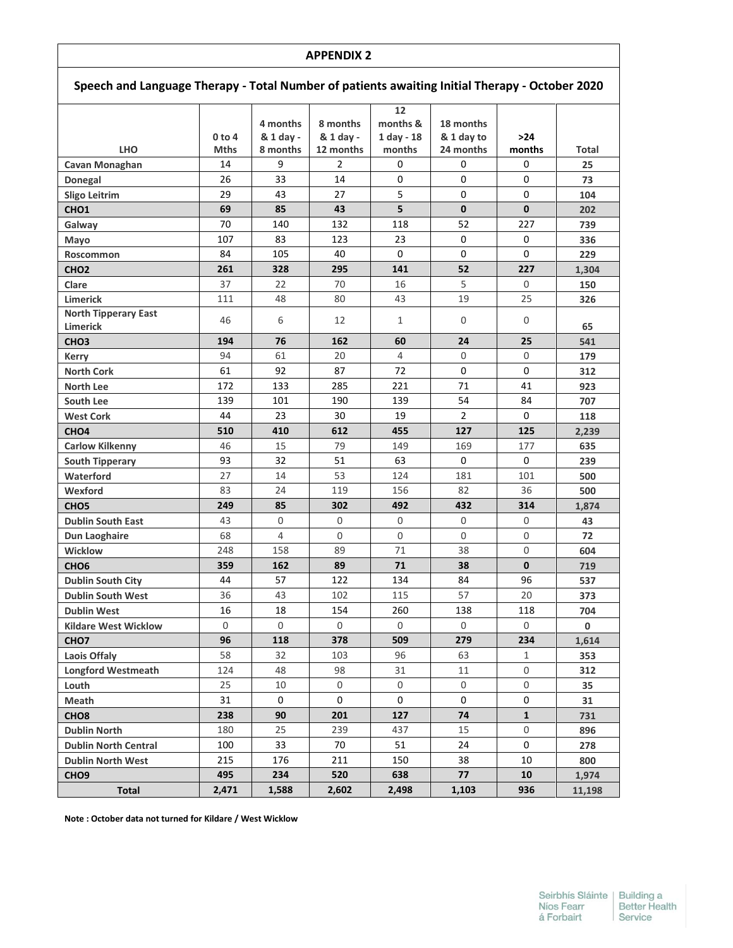| Speech and Language Therapy - Total Number of patients awaiting Initial Therapy - October 2020 |                         |                                   |                                    |                                        |                                      |               |             |  |
|------------------------------------------------------------------------------------------------|-------------------------|-----------------------------------|------------------------------------|----------------------------------------|--------------------------------------|---------------|-------------|--|
| <b>LHO</b>                                                                                     | $0$ to 4<br><b>Mths</b> | 4 months<br>& 1 day -<br>8 months | 8 months<br>& 1 day -<br>12 months | 12<br>months &<br>1 day - 18<br>months | 18 months<br>& 1 day to<br>24 months | >24<br>months | Total       |  |
| Cavan Monaghan                                                                                 | 14                      | 9                                 | $\overline{2}$                     | 0                                      | 0                                    | 0             | 25          |  |
| Donegal                                                                                        | 26                      | 33                                | 14                                 | 0                                      | 0                                    | 0             | 73          |  |
| <b>Sligo Leitrim</b>                                                                           | 29                      | 43                                | 27                                 | 5                                      | 0                                    | 0             | 104         |  |
| CHO <sub>1</sub>                                                                               | 69                      | 85                                | 43                                 | 5                                      | 0                                    | $\mathbf 0$   | 202         |  |
| Galway                                                                                         | 70                      | 140                               | 132                                | 118                                    | 52                                   | 227           | 739         |  |
| Mayo                                                                                           | 107                     | 83                                | 123                                | 23                                     | 0                                    | 0             | 336         |  |
| Roscommon                                                                                      | 84                      | 105                               | 40                                 | 0                                      | 0                                    | 0             | 229         |  |
| CHO <sub>2</sub>                                                                               | 261                     | 328                               | 295                                | 141                                    | 52                                   | 227           | 1,304       |  |
| Clare                                                                                          | 37                      | 22                                | 70                                 | 16                                     | 5                                    | $\mathsf 0$   | 150         |  |
| Limerick                                                                                       | 111                     | 48                                | 80                                 | 43                                     | 19                                   | 25            | 326         |  |
| <b>North Tipperary East</b><br>Limerick                                                        | 46                      | 6                                 | 12                                 | $\mathbf{1}$                           | 0                                    | 0             | 65          |  |
| CHO <sub>3</sub>                                                                               | 194                     | 76                                | 162                                | 60                                     | 24                                   | 25            | 541         |  |
| <b>Kerry</b>                                                                                   | 94                      | 61                                | 20                                 | $\overline{4}$                         | 0                                    | $\mathsf 0$   | 179         |  |
| <b>North Cork</b>                                                                              | 61                      | 92                                | 87                                 | 72                                     | 0                                    | 0             | 312         |  |
| <b>North Lee</b>                                                                               | 172                     | 133                               | 285                                | 221                                    | 71                                   | 41            | 923         |  |
| South Lee                                                                                      | 139                     | 101                               | 190                                | 139                                    | 54                                   | 84            | 707         |  |
| <b>West Cork</b>                                                                               | 44                      | 23                                | 30                                 | 19                                     | 2                                    | 0             | 118         |  |
| CHO <sub>4</sub>                                                                               | 510                     | 410                               | 612                                | 455                                    | 127                                  | 125           | 2,239       |  |
| <b>Carlow Kilkenny</b>                                                                         | 46                      | 15                                | 79                                 | 149                                    | 169                                  | 177           | 635         |  |
| <b>South Tipperary</b>                                                                         | 93                      | 32                                | 51                                 | 63                                     | 0                                    | 0             | 239         |  |
| Waterford                                                                                      | 27                      | 14                                | 53                                 | 124                                    | 181                                  | 101           | 500         |  |
| Wexford                                                                                        | 83                      | 24                                | 119                                | 156                                    | 82                                   | 36            | 500         |  |
| CHO <sub>5</sub>                                                                               | 249                     | 85                                | 302                                | 492                                    | 432                                  | 314           | 1,874       |  |
| <b>Dublin South East</b>                                                                       | 43                      | $\mathbf 0$                       | 0                                  | $\mathsf{O}$                           | $\mathsf 0$                          | $\mathsf 0$   | 43          |  |
| Dun Laoghaire                                                                                  | 68                      | 4                                 | 0                                  | 0                                      | 0                                    | $\mathsf 0$   | 72          |  |
| <b>Wicklow</b>                                                                                 | 248                     | 158                               | 89                                 | 71                                     | 38                                   | $\mathsf 0$   | 604         |  |
| CHO <sub>6</sub>                                                                               | 359                     | 162                               | 89                                 | 71                                     | 38                                   | $\mathbf{0}$  | 719         |  |
| <b>Dublin South City</b>                                                                       | 44                      | 57                                | 122                                | 134                                    | 84                                   | 96            | 537         |  |
| <b>Dublin South West</b>                                                                       | 36                      | 43                                | 102                                | 115                                    | 57                                   | 20            | 373         |  |
| <b>Dublin West</b>                                                                             | 16                      | 18                                | 154                                | 260                                    | 138                                  | 118           | 704         |  |
| <b>Kildare West Wicklow</b>                                                                    | 0                       | $\mathbf 0$                       | 0                                  | $\mathsf{O}$                           | 0                                    | $\mathsf 0$   | $\mathbf 0$ |  |
| CHO <sub>7</sub>                                                                               | 96                      | 118                               | 378                                | 509                                    | 279                                  | 234           | 1,614       |  |
| <b>Laois Offaly</b>                                                                            | 58                      | 32                                | 103                                | 96                                     | 63                                   | $\mathbf{1}$  | 353         |  |
| <b>Longford Westmeath</b>                                                                      | 124                     | 48                                | 98                                 | 31                                     | 11                                   | 0             | 312         |  |
| Louth                                                                                          | 25                      | 10                                | 0                                  | 0                                      | 0                                    | 0             | 35          |  |
| Meath                                                                                          | 31                      | $\mathsf{O}$                      | 0                                  | 0                                      | 0                                    | 0             | 31          |  |
| CHO <sub>8</sub>                                                                               | 238                     | 90                                | 201                                | 127                                    | 74                                   | $\mathbf{1}$  | 731         |  |
| <b>Dublin North</b>                                                                            | 180                     | 25                                | 239                                | 437                                    | 15                                   | 0             | 896         |  |
| <b>Dublin North Central</b>                                                                    | 100                     | 33                                | 70                                 | 51                                     | 24                                   | 0             | 278         |  |
| <b>Dublin North West</b>                                                                       | 215                     | 176                               | 211                                | 150                                    | 38                                   | 10            | 800         |  |
| CHO <sub>9</sub>                                                                               | 495                     | 234                               | 520                                | 638                                    | 77                                   | 10            | 1,974       |  |
| <b>Total</b>                                                                                   | 2,471                   | 1,588                             | 2,602                              | 2,498                                  | 1,103                                | 936           | 11,198      |  |

**Note : October data not turned for Kildare / West Wicklow**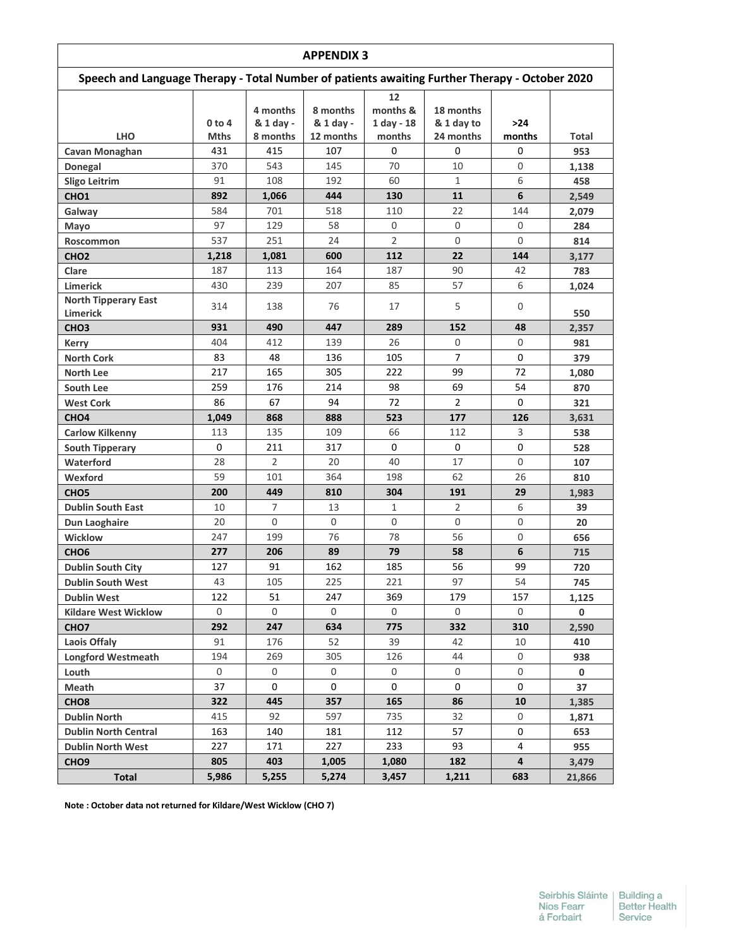| <b>APPENDIX 3</b>                              |                                                                                                |                                   |                                    |                                          |                                      |               |             |  |  |  |  |
|------------------------------------------------|------------------------------------------------------------------------------------------------|-----------------------------------|------------------------------------|------------------------------------------|--------------------------------------|---------------|-------------|--|--|--|--|
|                                                | Speech and Language Therapy - Total Number of patients awaiting Further Therapy - October 2020 |                                   |                                    |                                          |                                      |               |             |  |  |  |  |
| <b>LHO</b>                                     | $0$ to 4<br><b>Mths</b>                                                                        | 4 months<br>& 1 day -<br>8 months | 8 months<br>& 1 day -<br>12 months | 12<br>months &<br>$1$ day - 18<br>months | 18 months<br>& 1 day to<br>24 months | >24<br>months | Total       |  |  |  |  |
| Cavan Monaghan                                 | 431                                                                                            | 415                               | 107                                | 0                                        | 0                                    | 0             | 953         |  |  |  |  |
| Donegal                                        | 370                                                                                            | 543                               | 145                                | 70                                       | 10                                   | 0             | 1,138       |  |  |  |  |
| <b>Sligo Leitrim</b>                           | 91                                                                                             | 108                               | 192                                | 60                                       | 1                                    | 6             | 458         |  |  |  |  |
| CHO <sub>1</sub>                               | 892                                                                                            | 1,066                             | 444                                | 130                                      | 11                                   | 6             | 2,549       |  |  |  |  |
| Galway                                         | 584                                                                                            | 701                               | 518                                | 110                                      | 22                                   | 144           | 2,079       |  |  |  |  |
| Mayo                                           | 97                                                                                             | 129                               | 58                                 | 0                                        | 0                                    | 0             | 284         |  |  |  |  |
| Roscommon                                      | 537                                                                                            | 251                               | 24                                 | $\overline{2}$                           | 0                                    | 0             | 814         |  |  |  |  |
| CHO <sub>2</sub>                               | 1,218                                                                                          | 1,081                             | 600                                | 112                                      | 22                                   | 144           | 3,177       |  |  |  |  |
| Clare                                          | 187                                                                                            | 113                               | 164                                | 187                                      | 90                                   | 42            | 783         |  |  |  |  |
| <b>Limerick</b>                                | 430                                                                                            | 239                               | 207                                | 85                                       | 57                                   | 6             | 1,024       |  |  |  |  |
| <b>North Tipperary East</b><br><b>Limerick</b> | 314                                                                                            | 138                               | 76                                 | 17                                       | 5                                    | 0             | 550         |  |  |  |  |
| CHO <sub>3</sub>                               | 931                                                                                            | 490                               | 447                                | 289                                      | 152                                  | 48            | 2,357       |  |  |  |  |
| <b>Kerry</b>                                   | 404                                                                                            | 412                               | 139                                | 26                                       | 0                                    | 0             | 981         |  |  |  |  |
| <b>North Cork</b>                              | 83                                                                                             | 48                                | 136                                | 105                                      | $\overline{7}$                       | 0             | 379         |  |  |  |  |
| <b>North Lee</b>                               | 217                                                                                            | 165                               | 305                                | 222                                      | 99                                   | 72            | 1,080       |  |  |  |  |
| South Lee                                      | 259                                                                                            | 176                               | 214                                | 98                                       | 69                                   | 54            | 870         |  |  |  |  |
| <b>West Cork</b>                               | 86                                                                                             | 67                                | 94                                 | 72                                       | $\overline{2}$                       | 0             | 321         |  |  |  |  |
| CHO <sub>4</sub>                               | 1,049                                                                                          | 868                               | 888                                | 523                                      | 177                                  | 126           | 3,631       |  |  |  |  |
| <b>Carlow Kilkenny</b>                         | 113                                                                                            | 135                               | 109                                | 66                                       | 112                                  | 3             | 538         |  |  |  |  |
| <b>South Tipperary</b>                         | 0                                                                                              | 211                               | 317                                | 0                                        | 0                                    | 0             | 528         |  |  |  |  |
| Waterford                                      | 28                                                                                             | $\overline{2}$                    | 20                                 | 40                                       | 17                                   | 0             | 107         |  |  |  |  |
| Wexford                                        | 59                                                                                             | 101                               | 364                                | 198                                      | 62                                   | 26            | 810         |  |  |  |  |
| CHO <sub>5</sub>                               | 200                                                                                            | 449                               | 810                                | 304                                      | 191                                  | 29            | 1,983       |  |  |  |  |
| <b>Dublin South East</b>                       | 10                                                                                             | $\overline{7}$                    | 13                                 | $\mathbf{1}$                             | $\overline{2}$                       | 6             | 39          |  |  |  |  |
| Dun Laoghaire                                  | 20                                                                                             | 0                                 | 0                                  | 0                                        | $\Omega$                             | 0             | 20          |  |  |  |  |
| Wicklow                                        | 247                                                                                            | 199                               | 76                                 | 78                                       | 56                                   | 0             | 656         |  |  |  |  |
| CHO <sub>6</sub>                               | 277                                                                                            | 206                               | 89                                 | 79                                       | 58                                   | 6             | 715         |  |  |  |  |
| <b>Dublin South City</b>                       | 127                                                                                            | 91                                | 162                                | 185                                      | 56                                   | 99            | 720         |  |  |  |  |
| <b>Dublin South West</b>                       | 43                                                                                             | 105                               | 225                                | 221                                      | 97                                   | 54            | 745         |  |  |  |  |
| <b>Dublin West</b>                             | 122                                                                                            | 51                                | 247                                | 369                                      | 179                                  | 157           | 1,125       |  |  |  |  |
| <b>Kildare West Wicklow</b>                    | 0                                                                                              | 0                                 | 0                                  | 0                                        | 0                                    | 0             | 0           |  |  |  |  |
| CHO <sub>7</sub>                               | 292                                                                                            | 247                               | 634                                | 775                                      | 332                                  | 310           | 2,590       |  |  |  |  |
| Laois Offaly                                   | 91                                                                                             | 176                               | 52                                 | 39                                       | 42                                   | 10            | 410         |  |  |  |  |
| <b>Longford Westmeath</b>                      | 194                                                                                            | 269                               | 305                                | 126                                      | 44                                   | 0             | 938         |  |  |  |  |
| Louth                                          | $\mathsf{O}$                                                                                   | 0                                 | 0                                  | 0                                        | $\mathsf{O}$                         | 0             | $\mathbf 0$ |  |  |  |  |
| Meath                                          | 37                                                                                             | 0                                 | 0                                  | 0                                        | 0                                    | 0             | 37          |  |  |  |  |
| CHO <sub>8</sub>                               | 322                                                                                            | 445                               | 357                                | 165                                      | 86                                   | 10            | 1,385       |  |  |  |  |
| <b>Dublin North</b>                            | 415                                                                                            | 92                                | 597                                | 735                                      | 32                                   | 0             | 1,871       |  |  |  |  |
| <b>Dublin North Central</b>                    | 163                                                                                            | 140                               | 181                                | 112                                      | 57                                   | 0             | 653         |  |  |  |  |
| <b>Dublin North West</b>                       | 227                                                                                            | 171                               | 227                                | 233                                      | 93                                   | 4             | 955         |  |  |  |  |
| CHO <sub>9</sub>                               | 805                                                                                            | 403                               | 1,005                              | 1,080                                    | 182                                  | 4             | 3,479       |  |  |  |  |
| Total                                          | 5,986                                                                                          | 5,255                             | 5,274                              | 3,457                                    | 1,211                                | 683           | 21,866      |  |  |  |  |

**Note : October data not returned for Kildare/West Wicklow (CHO 7)**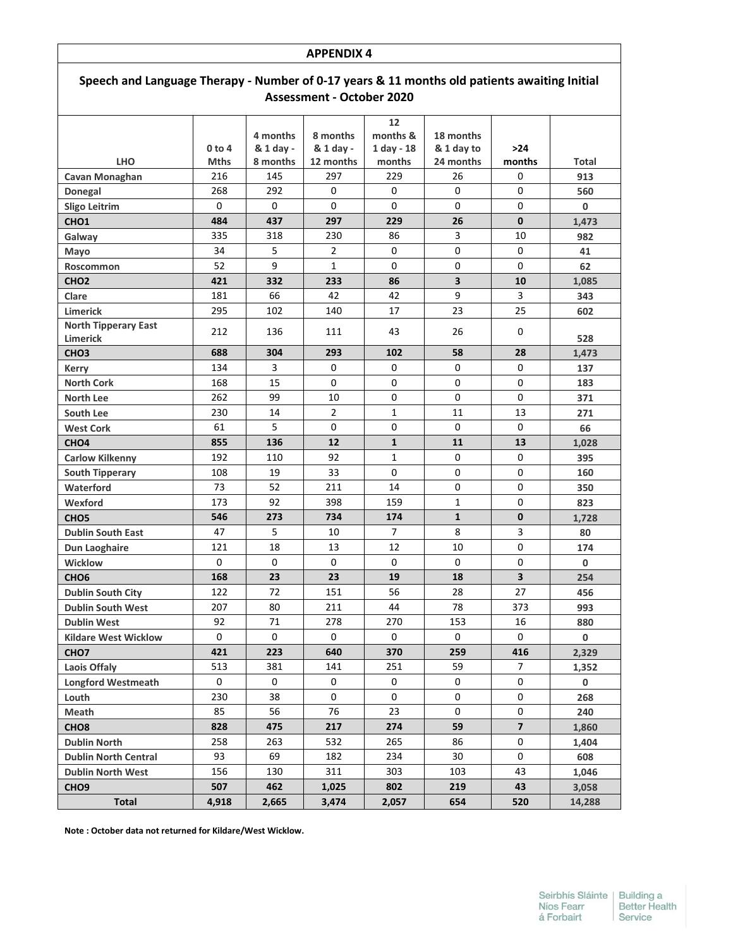| Speech and Language Therapy - Number of 0-17 years & 11 months old patients awaiting Initial<br><b>Assessment - October 2020</b> |  |  |  |  |  |  |  |
|----------------------------------------------------------------------------------------------------------------------------------|--|--|--|--|--|--|--|
|                                                                                                                                  |  |  |  |  |  |  |  |

|                             |             | 4 months  | 8 months            | months &       | 18 months    |                         |              |
|-----------------------------|-------------|-----------|---------------------|----------------|--------------|-------------------------|--------------|
|                             | 0 to 4      | & 1 day - | & 1 day -           | $1$ day - 18   | & 1 day to   | $>24$                   |              |
| <b>LHO</b>                  | <b>Mths</b> | 8 months  | 12 months           | months         | 24 months    | months                  | <b>Total</b> |
| <b>Cavan Monaghan</b>       | 216         | 145       | 297                 | 229            | 26           | 0                       | 913          |
| Donegal                     | 268         | 292       | 0                   | 0              | 0            | 0                       | 560          |
| <b>Sligo Leitrim</b>        | 0           | 0         | 0                   | 0              | 0            | 0                       | 0            |
| CHO <sub>1</sub>            | 484         | 437       | 297                 | 229            | 26           | $\mathbf{0}$            | 1,473        |
| Galway                      | 335         | 318       | 230                 | 86             | 3            | 10                      | 982          |
| Mayo                        | 34          | 5         | $\overline{2}$      | 0              | 0            | 0                       | 41           |
| Roscommon                   | 52          | 9         | $\mathbf{1}$        | 0              | 0            | $\Omega$                | 62           |
| CHO <sub>2</sub>            | 421         | 332       | 233                 | 86             | 3            | 10                      | 1,085        |
| Clare                       | 181         | 66        | 42                  | 42             | 9            | 3                       | 343          |
| Limerick                    | 295         | 102       | 140                 | 17             | 23           | 25                      | 602          |
| <b>North Tipperary East</b> | 212         | 136       | 111                 | 43             | 26           | 0                       |              |
| Limerick                    |             |           |                     |                |              |                         | 528          |
| CHO <sub>3</sub>            | 688         | 304       | 293                 | 102            | 58           | 28                      | 1,473        |
| <b>Kerry</b>                | 134         | 3         | 0                   | 0              | 0            | 0                       | 137          |
| <b>North Cork</b>           | 168         | 15        | $\Omega$            | $\Omega$       | 0            | $\mathbf 0$             | 183          |
| <b>North Lee</b>            | 262         | 99        | 10                  | 0              | 0            | 0                       | 371          |
| South Lee                   | 230         | 14        | $\overline{2}$      | $\mathbf{1}$   | 11           | 13                      | 271          |
| <b>West Cork</b>            | 61          | 5         | $\mathbf 0$         | 0              | $\mathbf 0$  | 0                       | 66           |
| CHO <sub>4</sub>            | 855         | 136       | 12                  | $\mathbf{1}$   | 11           | 13                      | 1,028        |
| <b>Carlow Kilkenny</b>      | 192         | 110       | 92                  | 1              | 0            | 0                       | 395          |
| <b>South Tipperary</b>      | 108         | 19        | 33                  | $\Omega$       | 0            | 0                       | 160          |
| Waterford                   | 73          | 52        | 211                 | 14             | 0            | 0                       | 350          |
| Wexford                     | 173         | 92        | 398                 | 159            | $\mathbf{1}$ | 0                       | 823          |
| CHO <sub>5</sub>            | 546         | 273       | 734                 | 174            | $\mathbf{1}$ | $\mathbf 0$             | 1,728        |
| <b>Dublin South East</b>    | 47          | 5         | 10                  | $\overline{7}$ | 8            | 3                       | 80           |
| Dun Laoghaire               | 121         | 18        | 13                  | 12             | 10           | 0                       | 174          |
| Wicklow                     | $\Omega$    | $\Omega$  | $\Omega$            | $\Omega$       | 0            | $\Omega$                | 0            |
| CHO <sub>6</sub>            | 168         | 23        | 23                  | 19             | 18           | 3                       | 254          |
| <b>Dublin South City</b>    | 122         | 72        | 151                 | 56             | 28           | 27                      | 456          |
| <b>Dublin South West</b>    | 207         | 80        | 211                 | 44             | 78           | 373                     | 993          |
| <b>Dublin West</b>          | 92          | 71        | 278                 | 270            | 153          | 16                      | 880          |
| <b>Kildare West Wicklow</b> | 0           | 0         | 0                   | 0              | 0            | 0                       | 0            |
| CHO <sub>7</sub>            | 421         | 223       | 640                 | 370            | 259          | 416                     | 2,329        |
| Laois Offaly                | 513         | 381       | 141                 | 251            | 59           | 7                       | 1,352        |
| <b>Longford Westmeath</b>   | 0           | 0         | 0                   | 0              | 0            | 0                       | 0            |
| Louth                       | 230         | 38        | $\mathsf{O}\xspace$ | 0              | 0            | 0                       | 268          |
| Meath                       | 85          | 56        | 76                  | 23             | 0            | 0                       | 240          |
| CHO <sub>8</sub>            | 828         | 475       | 217                 | 274            | 59           | $\overline{\mathbf{z}}$ | 1,860        |
| <b>Dublin North</b>         | 258         | 263       | 532                 | 265            | 86           | 0                       | 1,404        |
| <b>Dublin North Central</b> | 93          | 69        | 182                 | 234            | 30           | 0                       | 608          |
| <b>Dublin North West</b>    | 156         | 130       | 311                 | 303            | 103          | 43                      | 1,046        |
| CHO <sub>9</sub>            | 507         | 462       | 1,025               | 802            | 219          | 43                      | 3,058        |
| <b>Total</b>                | 4,918       | 2,665     | 3,474               | 2,057          | 654          | 520                     | 14,288       |

**Note : October data not returned for Kildare/West Wicklow.**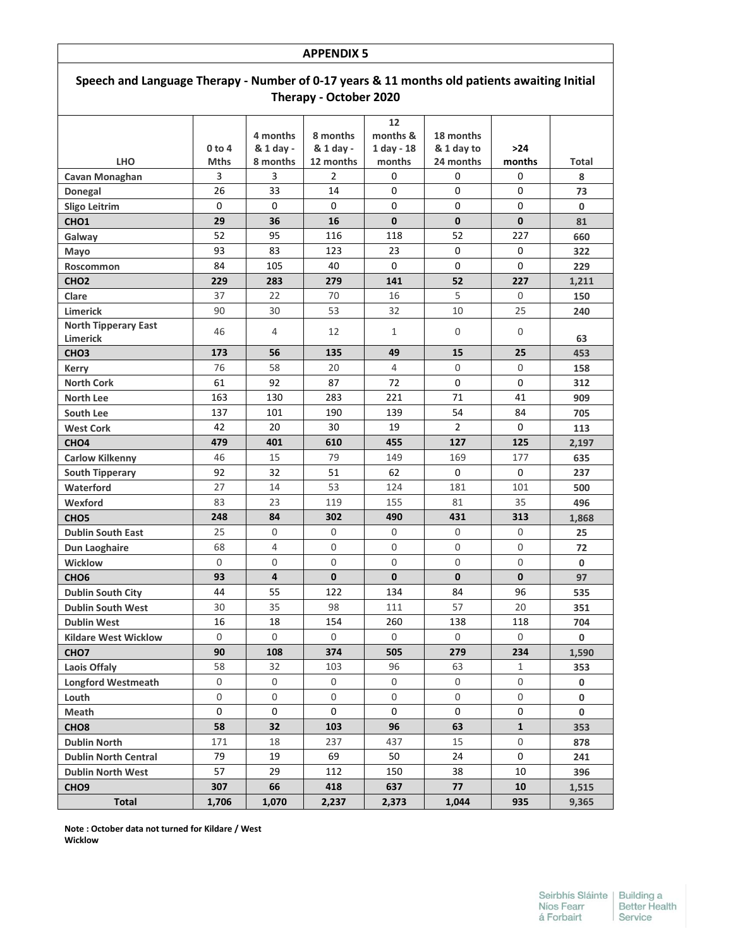| <b>APPENDIX 5</b>                                                                                                      |              |                       |                       |                                |                         |              |              |  |  |
|------------------------------------------------------------------------------------------------------------------------|--------------|-----------------------|-----------------------|--------------------------------|-------------------------|--------------|--------------|--|--|
| Speech and Language Therapy - Number of 0-17 years & 11 months old patients awaiting Initial<br>Therapy - October 2020 |              |                       |                       |                                |                         |              |              |  |  |
|                                                                                                                        | $0$ to 4     | 4 months<br>& 1 day - | 8 months<br>& 1 day - | 12<br>months &<br>$1$ day - 18 | 18 months<br>& 1 day to | $>24$        |              |  |  |
| <b>LHO</b>                                                                                                             | <b>Mths</b>  | 8 months              | 12 months             | months                         | 24 months               | months       | Total        |  |  |
| Cavan Monaghan                                                                                                         | 3            | 3                     | 2                     | 0                              | 0                       | 0            | 8            |  |  |
| Donegal                                                                                                                | 26           | 33                    | 14                    | 0                              | 0                       | 0            | 73           |  |  |
| <b>Sligo Leitrim</b>                                                                                                   | $\Omega$     | 0                     | 0                     | $\Omega$                       | $\Omega$                | $\Omega$     | $\mathbf{0}$ |  |  |
| CHO <sub>1</sub>                                                                                                       | 29           | 36                    | 16                    | $\mathbf{0}$                   | $\mathbf{0}$            | $\mathbf{0}$ | 81           |  |  |
| Galway                                                                                                                 | 52           | 95                    | 116                   | 118                            | 52                      | 227          | 660          |  |  |
| Mayo                                                                                                                   | 93           | 83                    | 123                   | 23                             | 0                       | 0            | 322          |  |  |
| Roscommon                                                                                                              | 84           | 105                   | 40                    | $\Omega$                       | 0                       | 0            | 229          |  |  |
| CHO <sub>2</sub>                                                                                                       | 229          | 283                   | 279                   | 141                            | 52                      | 227          | 1,211        |  |  |
| Clare                                                                                                                  | 37           | 22                    | 70                    | 16                             | 5                       | $\Omega$     | 150          |  |  |
| Limerick                                                                                                               | 90           | 30                    | 53                    | 32                             | 10                      | 25           | 240          |  |  |
| <b>North Tipperary East</b><br><b>Limerick</b>                                                                         | 46           | 4                     | 12                    | 1                              | $\Omega$                | 0            | 63           |  |  |
| CHO <sub>3</sub>                                                                                                       | 173          | 56                    | 135                   | 49                             | 15                      | 25           | 453          |  |  |
| <b>Kerry</b>                                                                                                           | 76           | 58                    | 20                    | 4                              | $\Omega$                | 0            | 158          |  |  |
| <b>North Cork</b>                                                                                                      | 61           | 92                    | 87                    | 72                             | $\Omega$                | 0            | 312          |  |  |
| North Lee                                                                                                              | 163          | 130                   | 283                   | 221                            | 71                      | 41           | 909          |  |  |
| South Lee                                                                                                              | 137          | 101                   | 190                   | 139                            | 54                      | 84           | 705          |  |  |
| <b>West Cork</b>                                                                                                       | 42           | 20                    | 30                    | 19                             | $\overline{2}$          | 0            | 113          |  |  |
| CHO <sub>4</sub>                                                                                                       | 479          | 401                   | 610                   | 455                            | 127                     | 125          | 2,197        |  |  |
| <b>Carlow Kilkenny</b>                                                                                                 | 46           | 15                    | 79                    | 149                            | 169                     | 177          | 635          |  |  |
| <b>South Tipperary</b>                                                                                                 | 92           | 32                    | 51                    | 62                             | $\mathbf{0}$            | 0            | 237          |  |  |
| Waterford                                                                                                              | 27           | 14                    | 53                    | 124                            | 181                     | 101          | 500          |  |  |
| Wexford                                                                                                                | 83           | 23                    | 119                   | 155                            | 81                      | 35           | 496          |  |  |
| CHO <sub>5</sub>                                                                                                       | 248          | 84                    | 302                   | 490                            | 431                     | 313          | 1,868        |  |  |
| <b>Dublin South East</b>                                                                                               | 25           | 0                     | 0                     | 0                              | 0                       | 0            | 25           |  |  |
| Dun Laoghaire                                                                                                          | 68           | 4                     | 0                     | 0                              | $\Omega$                | 0            | 72           |  |  |
| <b>Wicklow</b>                                                                                                         | 0            | 0                     | 0                     | 0                              | 0                       | 0            | 0            |  |  |
| CHO <sub>6</sub>                                                                                                       | 93           | 4                     | 0                     | 0                              | $\mathbf{0}$            | 0            | 97           |  |  |
| <b>Dublin South City</b>                                                                                               | 44           | 55                    | 122                   | 134                            | 84                      | 96           | 535          |  |  |
| <b>Dublin South West</b>                                                                                               | 30           | 35                    | 98                    | 111                            | 57                      | 20           | 351          |  |  |
| <b>Dublin West</b>                                                                                                     | 16           | 18                    | 154                   | 260                            | 138                     | 118          | 704          |  |  |
| <b>Kildare West Wicklow</b>                                                                                            | $\mathsf{O}$ | 0                     | 0                     | $\mathsf{O}\xspace$            | $\mathsf{O}$            | $\mathsf{O}$ | 0            |  |  |
| CHO <sub>7</sub>                                                                                                       | 90           | 108                   | 374                   | 505                            | 279                     | 234          | 1,590        |  |  |
| Laois Offaly                                                                                                           | 58           | 32                    | 103                   | 96                             | 63                      | $\mathbf{1}$ | 353          |  |  |
| <b>Longford Westmeath</b>                                                                                              | 0            | 0                     | 0                     | 0                              | 0                       | 0            | 0            |  |  |
| Louth                                                                                                                  | $\mathbf 0$  | 0                     | 0                     | 0                              | 0                       | 0            | 0            |  |  |
| Meath                                                                                                                  | 0            | 0                     | 0                     | 0                              | 0                       | 0            | 0            |  |  |
| CHO <sub>8</sub>                                                                                                       | 58           | 32                    | 103                   | 96                             | 63                      | $\mathbf{1}$ | 353          |  |  |
| <b>Dublin North</b>                                                                                                    | 171          | 18                    | 237                   | 437                            | 15                      | $\mathsf{O}$ | 878          |  |  |
| <b>Dublin North Central</b>                                                                                            | 79           | 19                    | 69                    | 50                             | 24                      | 0            | 241          |  |  |
| <b>Dublin North West</b>                                                                                               | 57           | 29                    | 112                   | 150                            | 38                      | 10           | 396          |  |  |
| CHO <sub>9</sub>                                                                                                       | 307          | 66                    | 418                   | 637                            | 77                      | 10           | 1,515        |  |  |
| <b>Total</b>                                                                                                           | 1,706        | 1,070                 | 2,237                 | 2,373                          | 1,044                   | 935          | 9,365        |  |  |

**Note : October data not turned for Kildare / West Wicklow**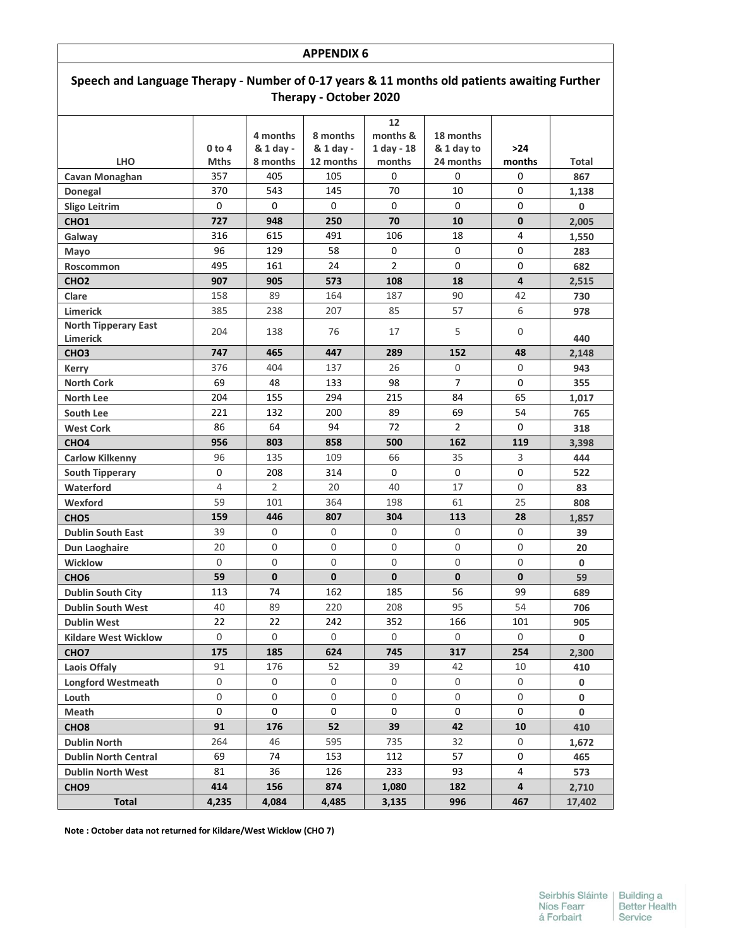| Speech and Language Therapy - Number of 0-17 years & 11 months old patients awaiting Further |              |                |              |                |                |              |        |  |
|----------------------------------------------------------------------------------------------|--------------|----------------|--------------|----------------|----------------|--------------|--------|--|
| Therapy - October 2020                                                                       |              |                |              |                |                |              |        |  |
|                                                                                              |              |                |              | 12             |                |              |        |  |
|                                                                                              |              | 4 months       | 8 months     | months &       | 18 months      |              |        |  |
|                                                                                              | 0 to 4       | & 1 day -      | & 1 day -    | $1$ day - 18   | & 1 day to     | >24          |        |  |
| <b>LHO</b>                                                                                   | <b>Mths</b>  | 8 months       | 12 months    | months         | 24 months      | months       | Total  |  |
| Cavan Monaghan                                                                               | 357          | 405            | 105          | 0              | 0              | 0            | 867    |  |
| Donegal                                                                                      | 370          | 543            | 145          | 70             | 10             | 0            | 1,138  |  |
| <b>Sligo Leitrim</b>                                                                         | 0            | 0              | 0            | $\Omega$       | $\Omega$       | $\Omega$     | 0      |  |
| CHO <sub>1</sub>                                                                             | 727          | 948            | 250          | 70             | 10             | $\mathbf{0}$ | 2,005  |  |
| Galway                                                                                       | 316          | 615            | 491          | 106            | 18             | 4            | 1,550  |  |
| Mayo                                                                                         | 96           | 129            | 58           | 0              | 0              | 0            | 283    |  |
| <b>Roscommon</b>                                                                             | 495          | 161            | 24           | $\overline{2}$ | 0              | 0            | 682    |  |
| CHO <sub>2</sub>                                                                             | 907          | 905            | 573          | 108            | 18             | 4            | 2,515  |  |
| Clare                                                                                        | 158          | 89             | 164          | 187            | 90             | 42           | 730    |  |
| <b>Limerick</b>                                                                              | 385          | 238            | 207          | 85             | 57             | 6            | 978    |  |
| <b>North Tipperary East</b>                                                                  | 204          | 138            | 76           | 17             | 5              | 0            |        |  |
| <b>Limerick</b>                                                                              |              |                |              |                |                |              | 440    |  |
| CHO <sub>3</sub>                                                                             | 747          | 465            | 447          | 289            | 152            | 48           | 2,148  |  |
| <b>Kerry</b>                                                                                 | 376          | 404            | 137          | 26             | 0              | $\Omega$     | 943    |  |
| <b>North Cork</b>                                                                            | 69           | 48             | 133          | 98             | $\overline{7}$ | 0            | 355    |  |
| <b>North Lee</b>                                                                             | 204          | 155            | 294          | 215            | 84             | 65           | 1,017  |  |
| South Lee                                                                                    | 221          | 132            | 200          | 89             | 69             | 54           | 765    |  |
| <b>West Cork</b>                                                                             | 86           | 64             | 94           | 72             | $\overline{2}$ | 0            | 318    |  |
| CHO <sub>4</sub>                                                                             | 956          | 803            | 858          | 500            | 162            | 119          | 3,398  |  |
| <b>Carlow Kilkenny</b>                                                                       | 96           | 135            | 109          | 66             | 35             | 3            | 444    |  |
| <b>South Tipperary</b>                                                                       | 0            | 208            | 314          | 0              | 0              | $\Omega$     | 522    |  |
| Waterford                                                                                    | 4            | $\overline{2}$ | 20           | 40             | 17             | $\Omega$     | 83     |  |
| Wexford                                                                                      | 59           | 101            | 364          | 198            | 61             | 25           | 808    |  |
| CHO <sub>5</sub>                                                                             | 159          | 446            | 807          | 304            | 113            | 28           | 1,857  |  |
| <b>Dublin South East</b>                                                                     | 39           | 0              | 0            | 0              | 0              | 0            | 39     |  |
| Dun Laoghaire                                                                                | 20           | $\Omega$       | 0            | $\Omega$       | 0              | $\Omega$     | 20     |  |
| <b>Wicklow</b>                                                                               | 0            | 0              | 0            | $\mathbf 0$    | 0              | 0            | 0      |  |
| CHO <sub>6</sub>                                                                             | 59           | $\mathbf{0}$   | $\mathbf{0}$ | $\mathbf 0$    | $\mathbf{0}$   | $\mathbf{0}$ | 59     |  |
| <b>Dublin South City</b>                                                                     | 113          | 74             | 162          | 185            | 56             | 99           | 689    |  |
| <b>Dublin South West</b>                                                                     | 40           | 89             | 220          | 208            | 95             | 54           | 706    |  |
| <b>Dublin West</b>                                                                           | 22           | 22             | 242          | 352            | 166            | 101          | 905    |  |
| <b>Kildare West Wicklow</b>                                                                  | $\mathbf{0}$ | $\mathsf{O}$   | 0            | 0              | 0              | 0            | 0      |  |
| CHO <sub>7</sub>                                                                             | 175          | 185            | 624          | 745            | 317            | 254          | 2,300  |  |
| Laois Offaly                                                                                 | 91           | 176            | 52           | 39             | 42             | $10\,$       | 410    |  |
| <b>Longford Westmeath</b>                                                                    | 0            | 0              | 0            | 0              | $\mathsf{O}$   | 0            | 0      |  |
| Louth                                                                                        | 0            | $\mathsf{O}$   | 0            | 0              | 0              | 0            | 0      |  |
| Meath                                                                                        | 0            | 0              | 0            | 0              | 0              | 0            | 0      |  |
| CHO <sub>8</sub>                                                                             | 91           | 176            | 52           | 39             | 42             | 10           | 410    |  |
| <b>Dublin North</b>                                                                          | 264          | 46             | 595          | 735            | 32             | 0            | 1,672  |  |
| <b>Dublin North Central</b>                                                                  | 69           | 74             | 153          | 112            | 57             | 0            | 465    |  |
| <b>Dublin North West</b>                                                                     | 81           | 36             | 126          | 233            | 93             | 4            | 573    |  |
| CHO <sub>9</sub>                                                                             | 414          | 156            | 874          | 1,080          | 182            | 4            | 2,710  |  |
| <b>Total</b>                                                                                 | 4,235        | 4,084          | 4,485        | 3,135          | 996            | 467          | 17,402 |  |

**Note : October data not returned for Kildare/West Wicklow (CHO 7)**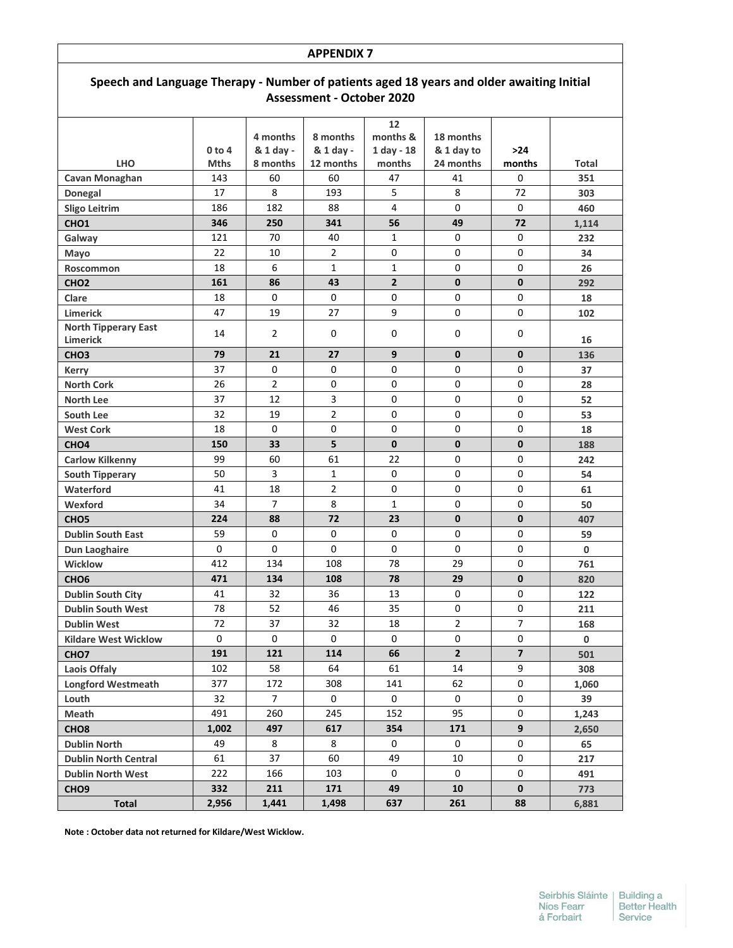# **Speech and Language Therapy - Number of patients aged 18 years and older awaiting Initial Assessment - October 2020**

| <b>Total</b>                    | 2,956       | 1,441                | 1,498          | 637            | 261               | 88                      | 6,881        |
|---------------------------------|-------------|----------------------|----------------|----------------|-------------------|-------------------------|--------------|
| CHO <sub>9</sub>                | 332         | 211                  | 171            | 49             | 10                | $\mathbf 0$             | 773          |
| <b>Dublin North West</b>        | 222         | 166                  | 103            | 0              | 0                 | 0                       | 491          |
| <b>Dublin North Central</b>     | 61          | 37                   | 60             | 49             | 10                | 0                       | 217          |
| <b>Dublin North</b>             | 49          | 8                    | 8              | 0              | 0                 | 0                       | 65           |
| CHO <sub>8</sub>                | 1,002       | 497                  | 617            | 354            | 171               | $\mathbf{9}$            | 2,650        |
| Meath                           | 491         | 260                  | 245            | 152            | 95                | 0                       | 1,243        |
| Louth                           | 32          | 7 <sup>1</sup>       | 0              | 0              | 0                 | 0                       | 39           |
| <b>Longford Westmeath</b>       | 377         | 172                  | 308            | 141            | 62                | 0                       | 1,060        |
| Laois Offaly                    | 102         | 58                   | 64             | 61             | 14                | 9                       | 308          |
| CHO <sub>7</sub>                | 191         | 121                  | 114            | 66             | $2^{\circ}$       | $\overline{\mathbf{z}}$ | 501          |
| <b>Kildare West Wicklow</b>     | $\mathbf 0$ | 0                    | 0              | $\mathbf 0$    | 0                 | $\Omega$                | $\mathbf 0$  |
| <b>Dublin West</b>              | 72          | 37                   | 32             | 18             | $\overline{2}$    | $\overline{7}$          | 168          |
| <b>Dublin South West</b>        | 78          | 52                   | 46             | 35             | 0                 | $\mathbf 0$             | 211          |
| <b>Dublin South City</b>        | 41          | 32                   | 36             | 13             | 0                 | 0                       | 122          |
| CHO <sub>6</sub>                | 471         | 134                  | 108            | 78             | 29                | $\mathbf 0$             | 820          |
| Dun Laoghaire<br><b>Wicklow</b> | 412         | 134                  | 108            | 78             | 29                | $\Omega$                | 761          |
| <b>Dublin South East</b>        | $\mathbf 0$ | 0<br>0               | 0              | $\mathbf 0$    | 0                 | 0<br>0                  | 59<br>0      |
| CHO <sub>5</sub>                | 59          |                      | 0              | 0              | 0                 |                         | 407          |
| Wexford                         | 34<br>224   | $\overline{7}$<br>88 | 8<br>72        | 1<br>23        | 0<br>$\mathbf{0}$ | 0<br>$\mathbf{0}$       | 50           |
| Waterford                       | 41          | 18                   | $\overline{2}$ | 0              | 0                 | 0                       | 61           |
| <b>South Tipperary</b>          | 50          | 3                    | 1              | 0              |                   |                         | 54           |
| <b>Carlow Kilkenny</b>          | 99          | 60                   | 61             | 22             | 0<br>$\Omega$     | $\Omega$<br>$\Omega$    | 242          |
| CHO <sub>4</sub>                | 150         | 33                   | 5              | 0              | $\mathbf{0}$      | $\mathbf 0$             | 188          |
| <b>West Cork</b>                | 18          | $\Omega$             | 0              | 0              | $\Omega$          | $\Omega$                | 18           |
| South Lee                       | 32          | 19                   | $\overline{2}$ | 0              | 0                 | 0                       | 53           |
| North Lee                       | 37          | 12                   | 3              | 0              | 0                 | 0                       | 52           |
| <b>North Cork</b>               | 26          | $\overline{2}$       | 0              | 0              | 0                 | $\Omega$                | 28           |
| Kerry                           | 37          | 0                    | 0              | 0              | 0                 | 0                       | 37           |
| CHO <sub>3</sub>                | 79          | 21                   | 27             | 9              | 0                 | $\mathbf{0}$            | 136          |
| <b>Limerick</b>                 |             |                      |                |                |                   |                         | 16           |
| <b>North Tipperary East</b>     | 14          | $\overline{2}$       | 0              | 0              | 0                 | 0                       |              |
| <b>Limerick</b>                 | 47          | 19                   | 27             | 9              | 0                 | $\mathbf 0$             | 102          |
| Clare                           | 18          | 0                    | $\mathbf 0$    | 0              | 0                 | 0                       | 18           |
| CHO <sub>2</sub>                | 161         | 86                   | 43             | $\overline{2}$ | $\mathbf{0}$      | $\mathbf{0}$            | 292          |
| Roscommon                       | 18          | 6                    | $\mathbf{1}$   | 1              | 0                 | 0                       | 26           |
| Mayo                            | 22          | 10                   | $\overline{2}$ | 0              | 0                 | 0                       | 34           |
| CHO <sub>1</sub><br>Galway      | 121         | 70                   | 40             | 1              | 0                 | 0                       | 1,114<br>232 |
| <b>Sligo Leitrim</b>            | 346         | 250                  | 88<br>341      | 56             | 49                | 72                      | 460          |
| Donegal                         | 17<br>186   | 8<br>182             | 193            | 5<br>4         | 8<br>$\mathbf 0$  | 72<br>$\Omega$          | 303          |
| Cavan Monaghan                  | 143         | 60                   | 60             | 47             | 41                | $\Omega$                | 351          |
| <b>LHO</b>                      | <b>Mths</b> | 8 months             | 12 months      | months         | 24 months         | months                  | Total        |
|                                 | $0$ to 4    | & 1 day -            | & 1 day -      | $1$ day - 18   | & 1 day to        | $>24$                   |              |
|                                 |             | 4 months             | 8 months       | months &       | 18 months         |                         |              |
|                                 |             |                      |                |                |                   |                         |              |

**Note : October data not returned for Kildare/West Wicklow.**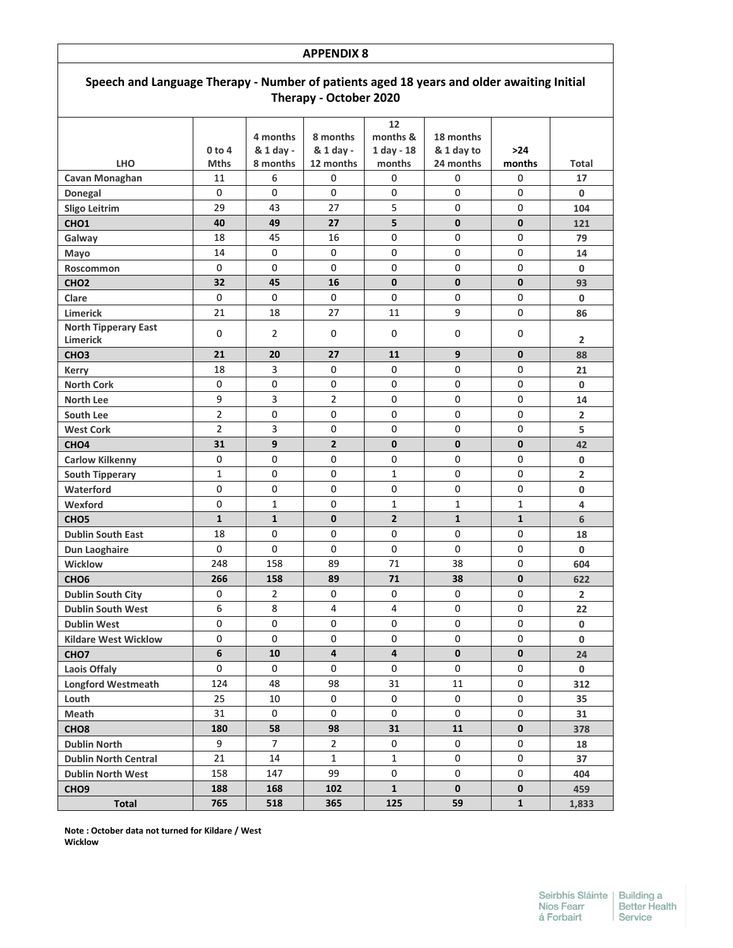| <b>APPENDIX 8</b>                                                                                                   |                |                       |                         |                                |                         |              |                |  |  |  |
|---------------------------------------------------------------------------------------------------------------------|----------------|-----------------------|-------------------------|--------------------------------|-------------------------|--------------|----------------|--|--|--|
| Speech and Language Therapy - Number of patients aged 18 years and older awaiting Initial<br>Therapy - October 2020 |                |                       |                         |                                |                         |              |                |  |  |  |
|                                                                                                                     | 0 to 4         | 4 months<br>& 1 day - | 8 months<br>& 1 day -   | 12<br>months &<br>$1$ day - 18 | 18 months<br>& 1 day to | >24          |                |  |  |  |
| <b>LHO</b>                                                                                                          | <b>Mths</b>    | 8 months              | 12 months               | months                         | 24 months               | months       | Total          |  |  |  |
| Cavan Monaghan                                                                                                      | 11             | 6                     | 0                       | 0                              | 0                       | 0            | 17             |  |  |  |
| Donegal                                                                                                             | 0              | 0                     | $\Omega$                | 0                              | 0                       | 0            | 0              |  |  |  |
| <b>Sligo Leitrim</b>                                                                                                | 29             | 43                    | 27                      | 5                              | 0                       | 0            | 104            |  |  |  |
| CHO <sub>1</sub>                                                                                                    | 40             | 49                    | 27                      | 5                              | $\mathbf{0}$            | $\mathbf{0}$ | 121            |  |  |  |
| Galway                                                                                                              | 18             | 45                    | 16                      | 0                              | $\Omega$                | 0            | 79             |  |  |  |
| Mayo                                                                                                                | 14             | 0                     | $\Omega$                | 0                              | 0                       | 0            | 14             |  |  |  |
| Roscommon                                                                                                           | 0              | 0                     | $\Omega$                | 0                              | 0                       | 0            | $\mathbf 0$    |  |  |  |
| CHO <sub>2</sub>                                                                                                    | 32             | 45                    | 16                      | $\mathbf{0}$                   | $\mathbf{0}$            | $\mathbf{0}$ | 93             |  |  |  |
| Clare                                                                                                               | 0              | 0                     | 0                       | 0                              | 0                       | 0            | 0              |  |  |  |
| <b>Limerick</b>                                                                                                     | 21             | 18                    | 27                      | 11                             | 9                       | 0            | 86             |  |  |  |
| <b>North Tipperary East</b><br>Limerick                                                                             | 0              | $\overline{2}$        | $\Omega$                | 0                              | 0                       | 0            | $\overline{2}$ |  |  |  |
| CHO <sub>3</sub>                                                                                                    | 21             | 20                    | 27                      | 11                             | 9                       | $\mathbf{0}$ | 88             |  |  |  |
| <b>Kerry</b>                                                                                                        | 18             | 3                     | 0                       | 0                              | 0                       | 0            | 21             |  |  |  |
| <b>North Cork</b>                                                                                                   | 0              | 0                     | 0                       | 0                              | 0                       | 0            | 0              |  |  |  |
| <b>North Lee</b>                                                                                                    | 9              | 3                     | $\overline{2}$          | 0                              | $\Omega$                | 0            | 14             |  |  |  |
| South Lee                                                                                                           | $\overline{2}$ | 0                     | 0                       | 0                              | 0                       | 0            | $\overline{2}$ |  |  |  |
| <b>West Cork</b>                                                                                                    | $\overline{2}$ | 3                     | 0                       | 0                              | 0                       | 0            | 5              |  |  |  |
| CHO <sub>4</sub>                                                                                                    | 31             | 9                     | $\overline{2}$          | $\mathbf{0}$                   | $\mathbf{0}$            | $\mathbf{0}$ | 42             |  |  |  |
| <b>Carlow Kilkenny</b>                                                                                              | 0              | 0                     | 0                       | 0                              | 0                       | 0            | 0              |  |  |  |
| <b>South Tipperary</b>                                                                                              | $\mathbf{1}$   | 0                     | 0                       | $\mathbf{1}$                   | 0                       | 0            | $\overline{2}$ |  |  |  |
| Waterford                                                                                                           | 0              | 0                     | 0                       | 0                              | 0                       | 0            | 0              |  |  |  |
| Wexford                                                                                                             | 0              | 1                     | 0                       | 1                              | 1                       | 1            | 4              |  |  |  |
| CHO <sub>5</sub>                                                                                                    | $\mathbf{1}$   | $\mathbf{1}$          | $\mathbf{0}$            | $\overline{2}$                 | $\mathbf{1}$            | $\mathbf{1}$ | 6              |  |  |  |
| <b>Dublin South East</b>                                                                                            | 18             | 0                     | $\Omega$                | 0                              | 0                       | 0            | 18             |  |  |  |
| Dun Laoghaire                                                                                                       | 0              | 0                     | 0                       | 0                              | 0                       | 0            | 0              |  |  |  |
| <b>Wicklow</b>                                                                                                      | 248            | 158                   | 89                      | 71                             | 38                      | 0            | 604            |  |  |  |
| CHO <sub>6</sub>                                                                                                    | 266            | 158                   | 89                      | 71                             | 38                      | $\mathbf{0}$ | 622            |  |  |  |
| <b>Dublin South City</b>                                                                                            | 0              | $\overline{2}$        | 0                       | 0                              | 0                       | 0            | $\overline{2}$ |  |  |  |
| <b>Dublin South West</b>                                                                                            | 6              | 8                     | 4                       | 4                              | 0                       | 0            | 22             |  |  |  |
| <b>Dublin West</b>                                                                                                  | 0              | 0                     | 0                       | 0                              | 0                       | 0            | $\mathbf 0$    |  |  |  |
| <b>Kildare West Wicklow</b>                                                                                         | 0              | 0                     | 0                       | 0                              | 0                       | 0            | 0              |  |  |  |
| CHO <sub>7</sub>                                                                                                    | 6              | 10                    | $\overline{\mathbf{4}}$ | 4                              | $\mathbf{0}$            | $\mathbf 0$  | 24             |  |  |  |
| Laois Offaly                                                                                                        | 0              | 0                     | 0                       | 0                              | 0                       | 0            | $\mathbf 0$    |  |  |  |
| <b>Longford Westmeath</b>                                                                                           | 124            | 48                    | 98                      | 31                             | 11                      | 0            | 312            |  |  |  |
| Louth                                                                                                               | 25             | 10                    | 0                       | 0                              | 0                       | 0            | 35             |  |  |  |
| Meath                                                                                                               | 31             | 0                     | 0                       | 0                              | 0                       | 0            | 31             |  |  |  |
| CHO <sub>8</sub>                                                                                                    | 180            | 58                    | 98                      | 31                             | 11                      | $\mathbf 0$  | 378            |  |  |  |
| <b>Dublin North</b>                                                                                                 | 9              | $\overline{7}$        | $\overline{2}$          | 0                              | 0                       | 0            | 18             |  |  |  |
| <b>Dublin North Central</b>                                                                                         | 21             | 14                    | $\mathbf{1}$            | $\mathbf{1}$                   | 0                       | 0            | 37             |  |  |  |
| <b>Dublin North West</b>                                                                                            | 158            | 147                   | 99                      | 0                              | 0                       | 0            | 404            |  |  |  |
| CHO <sub>9</sub>                                                                                                    | 188            | 168                   | 102                     | 1                              | 0                       | $\bf{0}$     | 459            |  |  |  |
| <b>Total</b>                                                                                                        | 765            | 518                   | 365                     | 125                            | 59                      | $\mathbf{1}$ | 1,833          |  |  |  |

**Note : October data not turned for Kildare / West Wicklow**